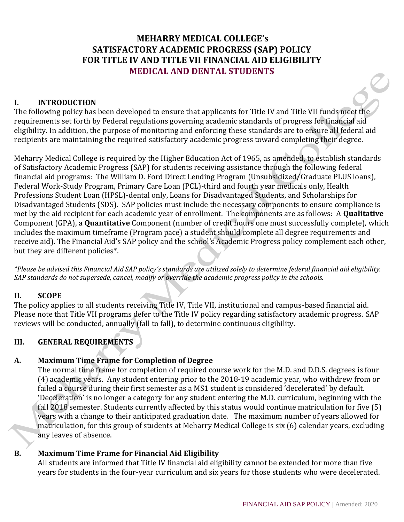# **MEHARRY MEDICAL COLLEGE's SATISFACTORY ACADEMIC PROGRESS (SAP) POLICY FOR TITLE IV AND TITLE VII FINANCIAL AID ELIGIBILITY MEDICAL AND DENTAL STUDENTS**

#### **I. INTRODUCTION**

The following policy has been developed to ensure that applicants for Title IV and Title VII funds meet the requirements set forth by Federal regulations governing academic standards of progress for financial aid eligibility. In addition, the purpose of monitoring and enforcing these standards are to ensure all federal aid recipients are maintaining the required satisfactory academic progress toward completing their degree.

Meharry Medical College is required by the Higher Education Act of 1965, as amended, to establish standards of Satisfactory Academic Progress (SAP) for students receiving assistance through the following federal financial aid programs: The William D. Ford Direct Lending Program (Unsubsidized/Graduate PLUS loans), Federal Work-Study Program, Primary Care Loan (PCL)-third and fourth year medicals only, Health Professions Student Loan (HPSL)-dental only, Loans for Disadvantaged Students, and Scholarships for Disadvantaged Students (SDS). SAP policies must include the necessary components to ensure compliance is met by the aid recipient for each academic year of enrollment. The components are as follows: A **Qualitative** Component (GPA), a **Quantitative** Component (number of credit hours one must successfully complete), which includes the maximum timeframe (Program pace) a student should complete all degree requirements and receive aid). The Financial Aid's SAP policy and the school's Academic Progress policy complement each other, but they are different policies\*.

*\*Please be advised this Financial Aid SAP policy's standards are utilized solely to determine federal financial aid eligibility. SAP standards do not supersede, cancel, modify or override the academic progress policy in the schools.*

#### **II. SCOPE**

The policy applies to all students receiving Title IV, Title VII, institutional and campus-based financial aid. Please note that Title VII programs defer to the Title IV policy regarding satisfactory academic progress. SAP reviews will be conducted, annually (fall to fall), to determine continuous eligibility.

### **III. GENERAL REQUIREMENTS**

## **A. Maximum Time Frame for Completion of Degree**

The normal time frame for completion of required course work for the M.D. and D.D.S. degrees is four (4) academic years. Any student entering prior to the 2018-19 academic year, who withdrew from or failed a course during their first semester as a MS1 student is considered 'decelerated' by default. 'Deceleration' is no longer a category for any student entering the M.D. curriculum, beginning with the fall 2018 semester. Students currently affected by this status would continue matriculation for five (5) years with a change to their anticipated graduation date. The maximum number of years allowed for matriculation, for this group of students at Meharry Medical College is six (6) calendar years, excluding any leaves of absence.

### **B. Maximum Time Frame for Financial Aid Eligibility**

All students are informed that Title IV financial aid eligibility cannot be extended for more than five years for students in the four-year curriculum and six years for those students who were decelerated.

 $\prec^\text{C}$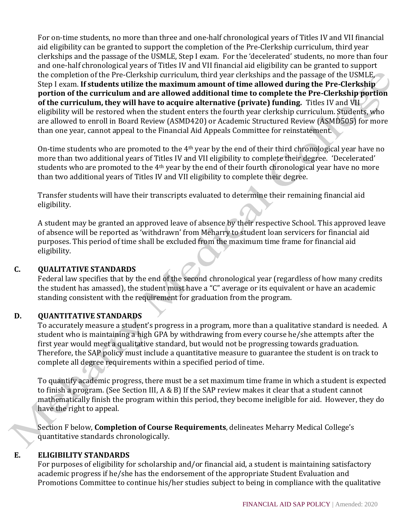For on-time students, no more than three and one-half chronological years of Titles IV and VII financial aid eligibility can be granted to support the completion of the Pre-Clerkship curriculum, third year clerkships and the passage of the USMLE, Step I exam. For the 'decelerated' students, no more than four and one-half chronological years of Titles IV and VII financial aid eligibility can be granted to support the completion of the Pre-Clerkship curriculum, third year clerkships and the passage of the USMLE, Step I exam. **If students utilize the maximum amount of time allowed during the Pre-Clerkship portion of the curriculum and are allowed additional time to complete the Pre-Clerkship portion of the curriculum, they will have to acquire alternative (private) funding.** Titles IV and VII eligibility will be restored when the student enters the fourth year clerkship curriculum. Students, who are allowed to enroll in Board Review (ASMD420) or Academic Structured Review (ASMD505) for more than one year, cannot appeal to the Financial Aid Appeals Committee for reinstatement.

On-time students who are promoted to the 4th year by the end of their third chronological year have no more than two additional years of Titles IV and VII eligibility to complete their degree. 'Decelerated' students who are promoted to the 4<sup>th</sup> year by the end of their fourth chronological year have no more than two additional years of Titles IV and VII eligibility to complete their degree.

Transfer students will have their transcripts evaluated to determine their remaining financial aid eligibility.

A student may be granted an approved leave of absence by their respective School. This approved leave of absence will be reported as 'withdrawn' from Meharry to student loan servicers for financial aid purposes. This period of time shall be excluded from the maximum time frame for financial aid eligibility.

## **C. QUALITATIVE STANDARDS**

Federal law specifies that by the end of the second chronological year (regardless of how many credits the student has amassed), the student must have a "C" average or its equivalent or have an academic standing consistent with the requirement for graduation from the program.

## **D. QUANTITATIVE STANDARDS**

To accurately measure a student's progress in a program, more than a qualitative standard is needed. A student who is maintaining a high GPA by withdrawing from every course he/she attempts after the first year would meet a qualitative standard, but would not be progressing towards graduation. Therefore, the SAP policy must include a quantitative measure to guarantee the student is on track to complete all degree requirements within a specified period of time.

To quantify academic progress, there must be a set maximum time frame in which a student is expected to finish a program. (See Section III, A & B) If the SAP review makes it clear that a student cannot mathematically finish the program within this period, they become ineligible for aid. However, they do have the right to appeal.

Section F below, **Completion of Course Requirements**, delineates Meharry Medical College's quantitative standards chronologically.

### **E. ELIGIBILITY STANDARDS**

For purposes of eligibility for scholarship and/or financial aid, a student is maintaining satisfactory academic progress if he/she has the endorsement of the appropriate Student Evaluation and Promotions Committee to continue his/her studies subject to being in compliance with the qualitative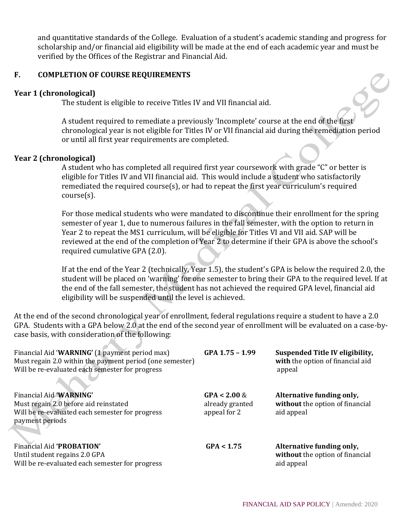and quantitative standards of the College. Evaluation of a student's academic standing and progress for scholarship and/or financial aid eligibility will be made at the end of each academic year and must be verified by the Offices of the Registrar and Financial Aid.

### **F. COMPLETION OF COURSE REQUIREMENTS**

#### **Year 1 (chronological)**

The student is eligible to receive Titles IV and VII financial aid.

A student required to remediate a previously 'Incomplete' course at the end of the first chronological year is not eligible for Titles IV or VII financial aid during the remediation period or until all first year requirements are completed.

#### **Year 2 (chronological)**

A student who has completed all required first year coursework with grade "C" or better is eligible for Titles IV and VII financial aid. This would include a student who satisfactorily remediated the required course(s), or had to repeat the first year curriculum's required course(s).

For those medical students who were mandated to discontinue their enrollment for the spring semester of year 1, due to numerous failures in the fall semester, with the option to return in Year 2 to repeat the MS1 curriculum, will be eligible for Titles VI and VII aid. SAP will be reviewed at the end of the completion of Year 2 to determine if their GPA is above the school's required cumulative GPA (2.0).

If at the end of the Year 2 (technically, Year 1.5), the student's GPA is below the required 2.0, the student will be placed on 'warning' for one semester to bring their GPA to the required level. If at the end of the fall semester, the student has not achieved the required GPA level, financial aid eligibility will be suspended until the level is achieved.

At the end of the second chronological year of enrollment, federal regulations require a student to have a 2.0 GPA. Students with a GPA below 2.0 at the end of the second year of enrollment will be evaluated on a case-bycase basis, with consideration of the following:

| Financial Aid 'WARNING' (1 payment period max)<br>Must regain 2.0 within the payment period (one semester)<br>Will be re-evaluated each semester for progress | GPA 1.75 - 1.99 | <b>Suspended Title IV eligibility,</b><br>with the option of financial aid<br>appeal |
|---------------------------------------------------------------------------------------------------------------------------------------------------------------|-----------------|--------------------------------------------------------------------------------------|
| Financial Aid 'WARNING'                                                                                                                                       | $GPA < 2.00 \&$ | Alternative funding only,                                                            |
| Must regain 2.0 before aid reinstated                                                                                                                         | already granted | without the option of financial                                                      |
| Will be re-evaluated each semester for progress<br>payment periods                                                                                            | appeal for 2    | aid appeal                                                                           |
|                                                                                                                                                               |                 |                                                                                      |
| Financial Aid 'PROBATION'                                                                                                                                     | GPA < 1.75      | Alternative funding only,                                                            |
| Until student regains 2.0 GPA                                                                                                                                 |                 | without the option of financial                                                      |
| Will be re-evaluated each semester for progress                                                                                                               |                 | aid appeal                                                                           |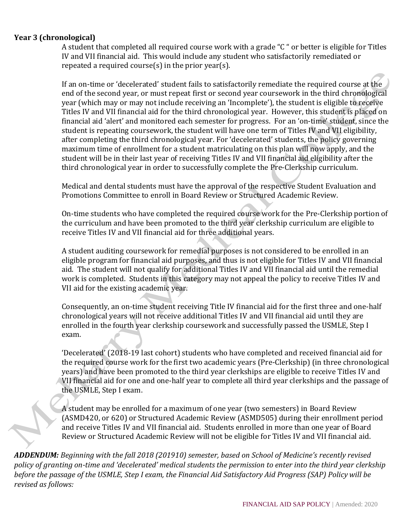### **Year 3 (chronological)**

A student that completed all required course work with a grade "C " or better is eligible for Titles IV and VII financial aid. This would include any student who satisfactorily remediated or repeated a required course $(s)$  in the prior year $(s)$ .

If an on-time or 'decelerated' student fails to satisfactorily remediate the required course at the end of the second year, or must repeat first or second year coursework in the third chronological year (which may or may not include receiving an 'Incomplete'), the student is eligible to receive Titles IV and VII financial aid for the third chronological year. However, this student is placed on financial aid 'alert' and monitored each semester for progress. For an 'on-time' student, since the student is repeating coursework, the student will have one term of Titles IV and VII eligibility, after completing the third chronological year. For 'decelerated' students, the policy governing maximum time of enrollment for a student matriculating on this plan will now apply, and the student will be in their last year of receiving Titles IV and VII financial aid eligibility after the third chronological year in order to successfully complete the Pre-Clerkship curriculum.

Medical and dental students must have the approval of the respective Student Evaluation and Promotions Committee to enroll in Board Review or Structured Academic Review.

On-time students who have completed the required course work for the Pre-Clerkship portion of the curriculum and have been promoted to the third year clerkship curriculum are eligible to receive Titles IV and VII financial aid for three additional years.

A student auditing coursework for remedial purposes is not considered to be enrolled in an eligible program for financial aid purposes, and thus is not eligible for Titles IV and VII financial aid. The student will not qualify for additional Titles IV and VII financial aid until the remedial work is completed. Students in this category may not appeal the policy to receive Titles IV and VII aid for the existing academic year.

Consequently, an on-time student receiving Title IV financial aid for the first three and one-half chronological years will not receive additional Titles IV and VII financial aid until they are enrolled in the fourth year clerkship coursework and successfully passed the USMLE, Step I exam.

'Decelerated' (2018-19 last cohort) students who have completed and received financial aid for the required course work for the first two academic years (Pre-Clerkship) (in three chronological years) and have been promoted to the third year clerkships are eligible to receive Titles IV and VII financial aid for one and one-half year to complete all third year clerkships and the passage of the USMLE, Step I exam.

A student may be enrolled for a maximum of one year (two semesters) in Board Review (ASMD420, or 620) or Structured Academic Review (ASMD505) during their enrollment period and receive Titles IV and VII financial aid. Students enrolled in more than one year of Board Review or Structured Academic Review will not be eligible for Titles IV and VII financial aid.

*ADDENDUM: Beginning with the fall 2018 (201910) semester, based on School of Medicine's recently revised policy of granting on-time and 'decelerated' medical students the permission to enter into the third year clerkship before the passage of the USMLE, Step I exam, the Financial Aid Satisfactory Aid Progress (SAP) Policy will be revised as follows:*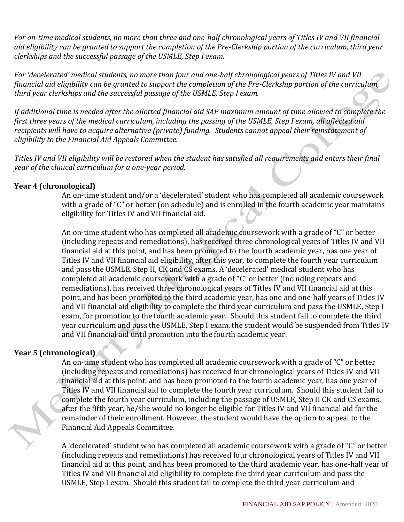*For on-time medical students, no more than three and one-half chronological years of Titles IV and VII financial aid eligibility can be granted to support the completion of the Pre-Clerkship portion of the curriculum, third year clerkships and the successful passage of the USMLE, Step I exam.*

*For 'decelerated' medical students, no more than four and one-half chronological years of Titles IV and VII financial aid eligibility can be granted to support the completion of the Pre-Clerkship portion of the curriculum, third year clerkships and the successful passage of the USMLE, Step I exam.* 

*If additional time is needed after the allotted financial aid SAP maximum amount of time allowed to complete the first three years of the medical curriculum, including the passing of the USMLE, Step I exam, all affected aid recipients will have to acquire alternative (private) funding. Students cannot appeal their reinstatement of eligibility to the Financial Aid Appeals Committee.*

*Titles IV and VII eligibility will be restored when the student has satisfied all requirements and enters their final year of the clinical curriculum for a one-year period*.

### **Year 4 (chronological)**

An on-time student and/or a 'decelerated' student who has completed all academic coursework with a grade of "C" or better (on schedule) and is enrolled in the fourth academic year maintains eligibility for Titles IV and VII financial aid.

An on-time student who has completed all academic coursework with a grade of "C" or better (including repeats and remediations), has received three chronological years of Titles IV and VII financial aid at this point, and has been promoted to the fourth academic year, has one year of Titles IV and VII financial aid eligibility, after this year, to complete the fourth year curriculum and pass the USMLE, Step II, CK and CS exams. A 'decelerated' medical student who has completed all academic coursework with a grade of "C" or better (including repeats and remediations), has received three chronological years of Titles IV and VII financial aid at this point, and has been promoted to the third academic year, has one and one-half years of Titles IV and VII financial aid eligibility to complete the third year curriculum and pass the USMLE, Step I exam, for promotion to the fourth academic year. Should this student fail to complete the third year curriculum and pass the USMLE, Step I exam, the student would be suspended from Titles IV and VII financial aid until promotion into the fourth academic year.

### **Year 5 (chronological)**

An on-time student who has completed all academic coursework with a grade of "C" or better (including repeats and remediations) has received four chronological years of Titles IV and VII financial aid at this point, and has been promoted to the fourth academic year, has one year of Titles IV and VII financial aid to complete the fourth year curriculum. Should this student fail to complete the fourth year curriculum, including the passage of USMLE, Step II CK and CS exams, after the fifth year, he/she would no longer be eligible for Titles IV and VII financial aid for the remainder of their enrollment. However, the student would have the option to appeal to the Financial Aid Appeals Committee.

A 'decelerated' student who has completed all academic coursework with a grade of "C" or better (including repeats and remediations) has received four chronological years of Titles IV and VII financial aid at this point, and has been promoted to the third academic year, has one-half year of Titles IV and VII financial aid eligibility to complete the third year curriculum and pass the USMLE, Step I exam. Should this student fail to complete the third year curriculum and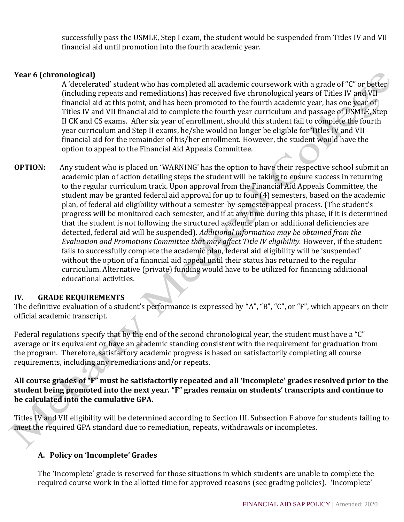successfully pass the USMLE, Step I exam, the student would be suspended from Titles IV and VII financial aid until promotion into the fourth academic year.

## **Year 6 (chronological)**

A 'decelerated' student who has completed all academic coursework with a grade of "C" or better (including repeats and remediations) has received five chronological years of Titles IV and VII financial aid at this point, and has been promoted to the fourth academic year, has one year of Titles IV and VII financial aid to complete the fourth year curriculum and passage of USMLE, Step II CK and CS exams. After six year of enrollment, should this student fail to complete the fourth year curriculum and Step II exams, he/she would no longer be eligible for Titles IV and VII financial aid for the remainder of his/her enrollment. However, the student would have the option to appeal to the Financial Aid Appeals Committee.

**OPTION:** Any student who is placed on 'WARNING' has the option to have their respective school submit an academic plan of action detailing steps the student will be taking to ensure success in returning to the regular curriculum track. Upon approval from the Financial Aid Appeals Committee, the student may be granted federal aid approval for up to four (4) semesters, based on the academic plan, of federal aid eligibility without a semester-by-semester appeal process. (The student's progress will be monitored each semester, and if at any time during this phase, if it is determined that the student is not following the structured academic plan or additional deficiencies are detected, federal aid will be suspended). *Additional information may be obtained from the Evaluation and Promotions Committee that may affect Title IV eligibility.* However, if the student fails to successfully complete the academic plan, federal aid eligibility will be 'suspended' without the option of a financial aid appeal until their status has returned to the regular curriculum. Alternative (private) funding would have to be utilized for financing additional educational activities.

### **IV. GRADE REQUIREMENTS**

The definitive evaluation of a student's performance is expressed by "A", "B", "C", or "F", which appears on their official academic transcript.

Federal regulations specify that by the end of the second chronological year, the student must have a "C" average or its equivalent or have an academic standing consistent with the requirement for graduation from the program. Therefore, satisfactory academic progress is based on satisfactorily completing all course requirements, including any remediations and/or repeats.

### **All course grades of "F" must be satisfactorily repeated and all 'Incomplete' grades resolved prior to the student being promoted into the next year. "F" grades remain on students' transcripts and continue to be calculated into the cumulative GPA.**

Titles IV and VII eligibility will be determined according to Section III. Subsection F above for students failing to meet the required GPA standard due to remediation, repeats, withdrawals or incompletes.

### **A. Policy on 'Incomplete' Grades**

The 'Incomplete' grade is reserved for those situations in which students are unable to complete the required course work in the allotted time for approved reasons (see grading policies). 'Incomplete'